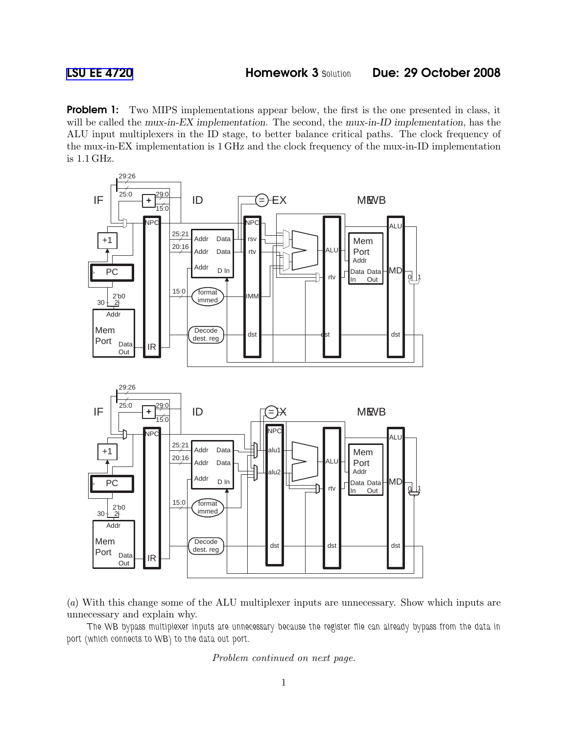**Problem 1:** Two MIPS implementations appear below, the first is the one presented in class, it will be called the mux-in-EX implementation. The second, the mux-in-ID implementation, has the ALU input multiplexers in the ID stage, to better balance critical paths. The clock frequency of the mux-in-EX implementation is 1 GHz and the clock frequency of the mux-in-ID implementation is 1.1 GHz.



(a) With this change some of the ALU multiplexer inputs are unnecessary. Show which inputs are unnecessary and explain why.

The WB bypass multiplexer inputs are unnecessary because the register file can already bypass from the data in port (which connects to WB) to the data out port.

Problem continued on next page.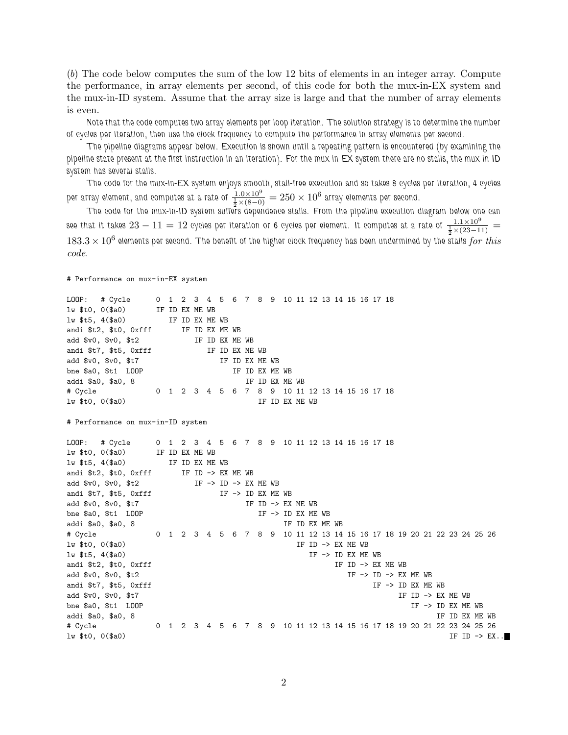(b) The code below computes the sum of the low 12 bits of elements in an integer array. Compute the performance, in array elements per second, of this code for both the mux-in-EX system and the mux-in-ID system. Assume that the array size is large and that the number of array elements is even.

Note that the code computes two array elements per loop iteration. The solution strategy is to determine the number of cycles per iteration, then use the clock frequency to compute the performance in array elements per second.

The pipeline diagrams appear below. Execution is shown until a repeating pattern is encountered (by examining the pipeline state present at the first instruction in an iteration). For the mux-in-EX system there are no stalls, the mux-in-ID system has several stalls.

The code for the mux-in-EX system enjoys smooth, stall-free execution and so takes 8 cycles per iteration, 4 cycles per array element, and computes at a rate of  $\frac{1.0\times10^9}{\frac{1}{2}\times(8-0)}=250\times10^6$  array elements per second.

The code for the mux-in-ID system suffers dependence stalls. From the pipeline execution diagram below one can see that it takes  $23-11=12$  cycles per iteration or 6 cycles per element. It computes at a rate of  $\frac{1.1\times10^9}{\frac{1}{2}\times(23-11)}=$  $183.3\times10^6$  elements per second. The benefit of the higher clock frequency has been undermined by the stalls  $for\ this$ code.

# Performance on mux-in-EX system

```
LOOP: # Cycle 0 1 2 3 4 5 6 7 8 9 10 11 12 13 14 15 16 17 18
lw $t0, 0($a0) IF ID EX ME WB
lw $t5, 4($a0) IF ID EX ME WB
andi $t2, $t0, 0xfff IF ID EX ME WB
add $v0, $v0, $t2 IF ID EX ME WB
andi $t7, $t5, 0xfff IF ID EX ME WB
add $v0, $v0, $t7 IF ID EX ME WB
bne $a0, $t1 LOOP IF ID EX ME WB
addi $a0, $a0, 8 1F ID EX ME WB
# Cycle 0 1 2 3 4 5 6 7 8 9 10 11 12 13 14 15 16 17 18
lw $t0, 0($a0) IF ID EX ME WB
# Performance on mux-in-ID system
LOOP: # Cycle 0 1 2 3 4 5 6 7 8 9 10 11 12 13 14 15 16 17 18
lw $t0, 0($a0) IF ID EX ME WB
lw $t5, 4($a0) IF ID EX ME WB
andi t2, t0, 0xff IF ID -> EX ME WB
add v0, v0, t2 IF -> ID -> EX ME WB
andi t7, t5, 0xfff IF -> ID EX ME WB
add $v0, $v0, $t7 IF ID -> EX ME WB
bne a_0, t_1 LOOP IF -> ID EX ME WB
addi $a0, $a0, 8 IF ID EX ME WB
# Cycle 0 1 2 3 4 5 6 7 8 9 10 11 12 13 14 15 16 17 18 19 20 21 22 23 24 25 26
lw $t0, 0($a0) IF ID -> EX ME WB
lw $t5, 4($a0) IF -> ID EX ME WB
andi t2, t0, 0xff \leq 0xff \leq 0xff \leq 0xff \leq 0xff \leq 0xff \leq 0xff \leq 0xff \leq 0xff \leq 0xff \leq 0xff \leq 0xff \leq 0xff \leq 0xff \leq 0xff \leq 0xff \leq 0xff \leq 
add v_0, v_0, t_2 is the set of the set of the set of the set of the set of the set of the set of the set of the set of the set of the set of the set of the set of the set of the set of the set of the set of the set
andi t7, t5, 0xfff IF -> ID EX ME WB
add v_0, v_0, t and v_1, t and t is the set of \mathbb{R} if \mathbb{R} if \mathbb{R} if \mathbb{R} if \mathbb{R} if \mathbb{R} if t is t and t is t and t is t and t is t and t is t and t is t and 
bne \$a0, \$t1 LOOP IF -> ID EX ME WB
addi $a0, $a0, 8 IF ID EX ME WB
# Cycle 0 1 2 3 4 5 6 7 8 9 10 11 12 13 14 15 16 17 18 19 20 21 22 23 24 25 26
lw $t0, 0($a0) IF ID \rightarrow EX..
```